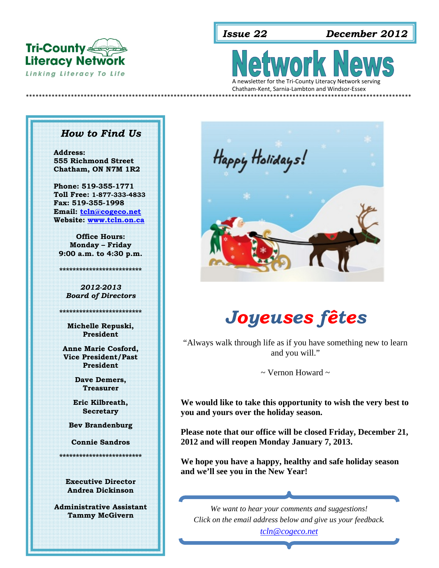

*Issue 22 December 2012*

Literacy Network<br>
Linking Literacy To Life<br>
A newsletter for the Tri-County Literacy Network serving

Chatham‐Kent, Sarnia‐Lambton and Windsor‐Essex \*\*\*\*\*\*\*\*\*\*\*\*\*\*\*\*\*\*\*\*\*\*\*\*\*\*\*\*\*\*\*\*\*\*\*\*\*\*\*\*\*\*\*\*\*\*\*\*\*\*\*\*\*\*\*\*\*\*\*\*\*\*\*\*\*\*\*\*\*\*\*\*\*\*\*\*\*\*\*\*\*\*\*\*\*\*\*\*\*\*\*\*\*\*\*\*\*\*\*\*\*\*\*\*\*\*\*\*\*\*\*\*\*\*\*\*\*\*\*\*

#### *How to Find Us*

**Address: 555 Richmond Street Chatham, ON N7M 1R2** 

**Phone: 519-355-1771 Toll Free: 1-877-333-4833 Fax: 519-355-1998 Email: tcln@cogeco.net Website: www.tcln.on.ca** 

**Office Hours: Monday – Friday 9:00 a.m. to 4:30 p.m.** 

**\*\*\*\*\*\*\*\*\*\*\*\*\*\*\*\*\*\*\*\*\*\*\*\*\***

*2012-2013 Board of Directors* 

**Michelle Repuski, President** 

**\*\*\*\*\*\*\*\*\*\*\*\*\*\*\*\*\*\*\*\*\*\*\*\*\*** 

**Anne Marie Cosford, Vice President/Past President** 

> **Dave Demers, Treasurer**

**Eric Kilbreath, Secretary** 

**Bev Brandenburg** 

**Connie Sandros** 

**\*\*\*\*\*\*\*\*\*\*\*\*\*\*\*\*\*\*\*\*\*\*\*\*\*** 

**Executive Director Andrea Dickinson** 

**Administrative Assistant** 



# *Joyeuses fêtes*

"Always walk through life as if you have something new to learn and you will."

 $\sim$  Vernon Howard  $\sim$ 

**We would like to take this opportunity to wish the very best to you and yours over the holiday season.** 

**Please note that our office will be closed Friday, December 21, 2012 and will reopen Monday January 7, 2013.** 

**We hope you have a happy, healthy and safe holiday season and we'll see you in the New Year!** 

**Tammy McGivern** *We want to hear your comments and suggestions! Click on the email address below and give us your feedback.*

*tcln@cogeco.net*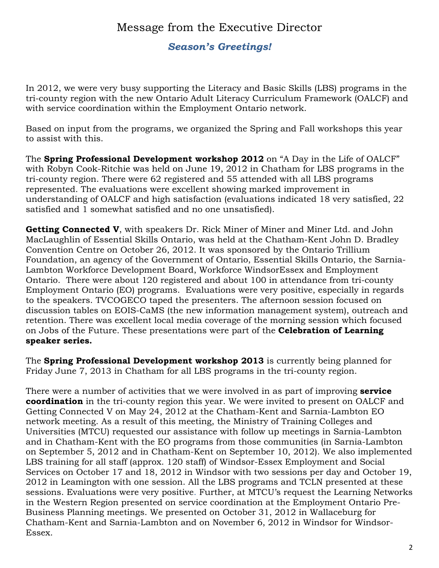# Message from the Executive Director

## *Season's Greetings!*

In 2012, we were very busy supporting the Literacy and Basic Skills (LBS) programs in the tri-county region with the new Ontario Adult Literacy Curriculum Framework (OALCF) and with service coordination within the Employment Ontario network.

Based on input from the programs, we organized the Spring and Fall workshops this year to assist with this.

The **Spring Professional Development workshop 2012** on "A Day in the Life of OALCF" with Robyn Cook-Ritchie was held on June 19, 2012 in Chatham for LBS programs in the tri-county region. There were 62 registered and 55 attended with all LBS programs represented. The evaluations were excellent showing marked improvement in understanding of OALCF and high satisfaction (evaluations indicated 18 very satisfied, 22 satisfied and 1 somewhat satisfied and no one unsatisfied).

**Getting Connected V**, with speakers Dr. Rick Miner of Miner and Miner Ltd. and John MacLaughlin of Essential Skills Ontario, was held at the Chatham-Kent John D. Bradley Convention Centre on October 26, 2012. It was sponsored by the Ontario Trillium Foundation, an agency of the Government of Ontario, Essential Skills Ontario, the Sarnia-Lambton Workforce Development Board, Workforce WindsorEssex and Employment Ontario. There were about 120 registered and about 100 in attendance from tri-county Employment Ontario (EO) programs. Evaluations were very positive, especially in regards to the speakers. TVCOGECO taped the presenters. The afternoon session focused on discussion tables on EOIS-CaMS (the new information management system), outreach and retention. There was excellent local media coverage of the morning session which focused on Jobs of the Future. These presentations were part of the **Celebration of Learning speaker series.** 

The **Spring Professional Development workshop 2013** is currently being planned for Friday June 7, 2013 in Chatham for all LBS programs in the tri-county region.

There were a number of activities that we were involved in as part of improving **service coordination** in the tri-county region this year. We were invited to present on OALCF and Getting Connected V on May 24, 2012 at the Chatham-Kent and Sarnia-Lambton EO network meeting. As a result of this meeting, the Ministry of Training Colleges and Universities (MTCU) requested our assistance with follow up meetings in Sarnia-Lambton and in Chatham-Kent with the EO programs from those communities (in Sarnia-Lambton on September 5, 2012 and in Chatham-Kent on September 10, 2012). We also implemented LBS training for all staff (approx. 120 staff) of Windsor-Essex Employment and Social Services on October 17 and 18, 2012 in Windsor with two sessions per day and October 19, 2012 in Leamington with one session. All the LBS programs and TCLN presented at these sessions. Evaluations were very positive. Further, at MTCU's request the Learning Networks in the Western Region presented on service coordination at the Employment Ontario Pre-Business Planning meetings. We presented on October 31, 2012 in Wallaceburg for Chatham-Kent and Sarnia-Lambton and on November 6, 2012 in Windsor for Windsor-Essex.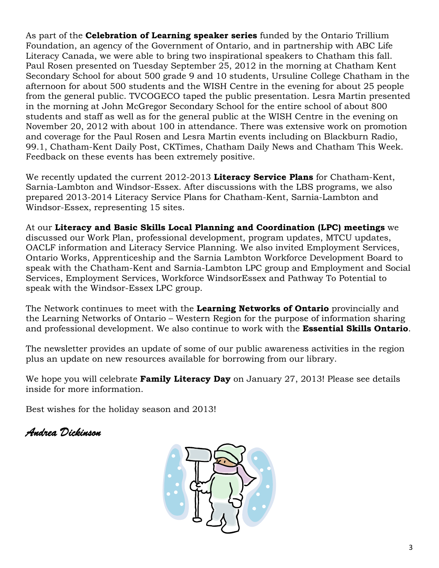As part of the **Celebration of Learning speaker series** funded by the Ontario Trillium Foundation, an agency of the Government of Ontario, and in partnership with ABC Life Literacy Canada, we were able to bring two inspirational speakers to Chatham this fall. Paul Rosen presented on Tuesday September 25, 2012 in the morning at Chatham Kent Secondary School for about 500 grade 9 and 10 students, Ursuline College Chatham in the afternoon for about 500 students and the WISH Centre in the evening for about 25 people from the general public. TVCOGECO taped the public presentation. Lesra Martin presented in the morning at John McGregor Secondary School for the entire school of about 800 students and staff as well as for the general public at the WISH Centre in the evening on November 20, 2012 with about 100 in attendance. There was extensive work on promotion and coverage for the Paul Rosen and Lesra Martin events including on Blackburn Radio, 99.1, Chatham-Kent Daily Post, CKTimes, Chatham Daily News and Chatham This Week. Feedback on these events has been extremely positive.

We recently updated the current 2012-2013 **Literacy Service Plans** for Chatham-Kent, Sarnia-Lambton and Windsor-Essex. After discussions with the LBS programs, we also prepared 2013-2014 Literacy Service Plans for Chatham-Kent, Sarnia-Lambton and Windsor-Essex, representing 15 sites.

At our **Literacy and Basic Skills Local Planning and Coordination (LPC) meetings** we discussed our Work Plan, professional development, program updates, MTCU updates, OACLF information and Literacy Service Planning. We also invited Employment Services, Ontario Works, Apprenticeship and the Sarnia Lambton Workforce Development Board to speak with the Chatham-Kent and Sarnia-Lambton LPC group and Employment and Social Services, Employment Services, Workforce WindsorEssex and Pathway To Potential to speak with the Windsor-Essex LPC group.

The Network continues to meet with the **Learning Networks of Ontario** provincially and the Learning Networks of Ontario – Western Region for the purpose of information sharing and professional development. We also continue to work with the **Essential Skills Ontario**.

The newsletter provides an update of some of our public awareness activities in the region plus an update on new resources available for borrowing from our library.

We hope you will celebrate **Family Literacy Day** on January 27, 2013! Please see details inside for more information.

Best wishes for the holiday season and 2013!

# *Andrea Dickinson*

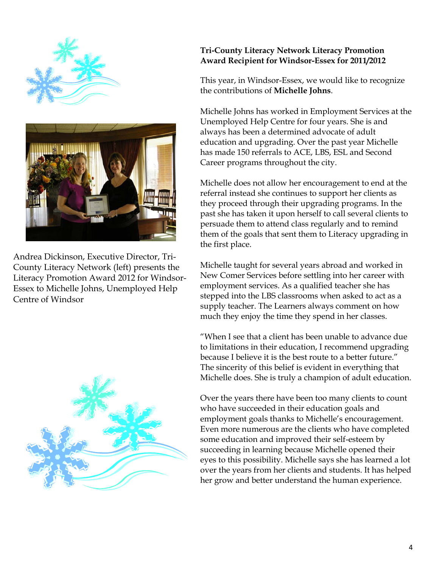

Andrea Dickinson, Executive Director, Tri-County Literacy Network (left) presents the Literacy Promotion Award 2012 for Windsor-Essex to Michelle Johns, Unemployed Help Centre of Windsor



# **Tri-County Literacy Network Literacy Promotion Award Recipient for Windsor-Essex for 2011/2012**

This year, in Windsor-Essex, we would like to recognize the contributions of **Michelle Johns**.

Michelle Johns has worked in Employment Services at the Unemployed Help Centre for four years. She is and always has been a determined advocate of adult education and upgrading. Over the past year Michelle has made 150 referrals to ACE, LBS, ESL and Second Career programs throughout the city.

Michelle does not allow her encouragement to end at the referral instead she continues to support her clients as they proceed through their upgrading programs. In the past she has taken it upon herself to call several clients to persuade them to attend class regularly and to remind them of the goals that sent them to Literacy upgrading in the first place.

Michelle taught for several years abroad and worked in New Comer Services before settling into her career with employment services. As a qualified teacher she has stepped into the LBS classrooms when asked to act as a supply teacher. The Learners always comment on how much they enjoy the time they spend in her classes.

"When I see that a client has been unable to advance due to limitations in their education, I recommend upgrading because I believe it is the best route to a better future." The sincerity of this belief is evident in everything that Michelle does. She is truly a champion of adult education.

Over the years there have been too many clients to count who have succeeded in their education goals and employment goals thanks to Michelle's encouragement. Even more numerous are the clients who have completed some education and improved their self-esteem by succeeding in learning because Michelle opened their eyes to this possibility. Michelle says she has learned a lot over the years from her clients and students. It has helped her grow and better understand the human experience.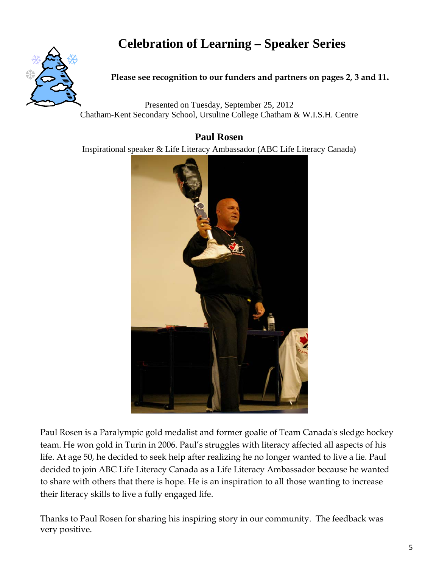# **Celebration of Learning – Speaker Series**



#### **Please see recognition to our funders and partners on pages 2, 3 and 11.**

Presented on Tuesday, September 25, 2012 Chatham-Kent Secondary School, Ursuline College Chatham & W.I.S.H. Centre

# **Paul Rosen**

Inspirational speaker & Life Literacy Ambassador (ABC Life Literacy Canada)



Paul Rosen is a Paralympic gold medalist and former goalie of Team Canada's sledge hockey team. He won gold in Turin in 2006. Paul's struggles with literacy affected all aspects of his life. At age 50, he decided to seek help after realizing he no longer wanted to live a lie. Paul decided to join ABC Life Literacy Canada as a Life Literacy Ambassador because he wanted to share with others that there is hope. He is an inspiration to all those wanting to increase their literacy skills to live a fully engaged life.

Thanks to Paul Rosen for sharing his inspiring story in our community. The feedback was very positive.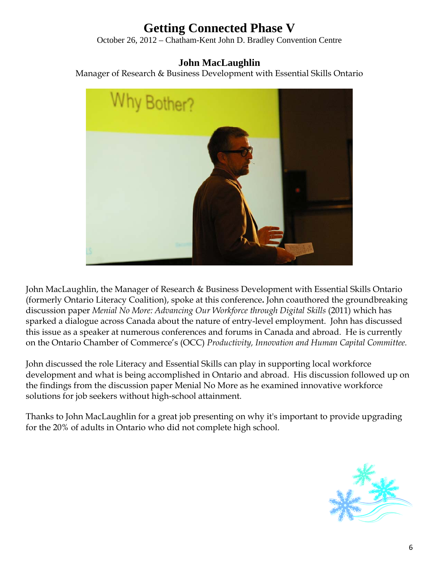# **Getting Connected Phase V**

October 26, 2012 – Chatham-Kent John D. Bradley Convention Centre

# **John MacLaughlin**

Manager of Research & Business Development with Essential Skills Ontario



John MacLaughlin, the Manager of Research & Business Development with Essential Skills Ontario (formerly Ontario Literacy Coalition), spoke at this conference**.** John coauthored the groundbreaking discussion paper *Menial No More: Advancing Our Workforce through Digital Skills* (2011) which has sparked a dialogue across Canada about the nature of entry-level employment. John has discussed this issue as a speaker at numerous conferences and forums in Canada and abroad. He is currently on the Ontario Chamber of Commerce's (OCC) *Productivity, Innovation and Human Capital Committee.* 

John discussed the role Literacy and Essential Skills can play in supporting local workforce development and what is being accomplished in Ontario and abroad. His discussion followed up on the findings from the discussion paper Menial No More as he examined innovative workforce solutions for job seekers without high-school attainment.

Thanks to John MacLaughlin for a great job presenting on why it's important to provide upgrading for the 20% of adults in Ontario who did not complete high school.

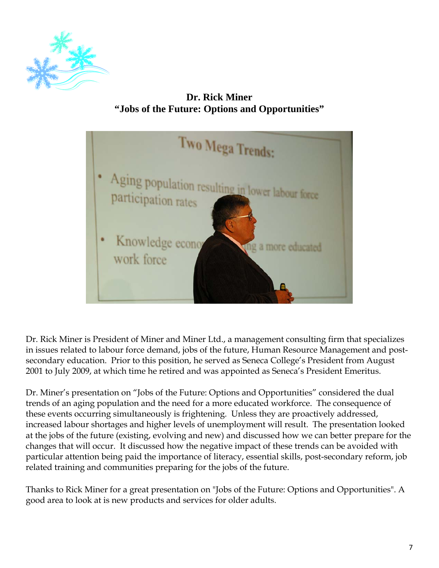

**Dr. Rick Miner "Jobs of the Future: Options and Opportunities"** 



Dr. Rick Miner is President of Miner and Miner Ltd., a management consulting firm that specializes in issues related to labour force demand, jobs of the future, Human Resource Management and postsecondary education. Prior to this position, he served as Seneca College's President from August 2001 to July 2009, at which time he retired and was appointed as Seneca's President Emeritus.

Dr. Miner's presentation on "Jobs of the Future: Options and Opportunities" considered the dual trends of an aging population and the need for a more educated workforce. The consequence of these events occurring simultaneously is frightening. Unless they are proactively addressed, increased labour shortages and higher levels of unemployment will result. The presentation looked at the jobs of the future (existing, evolving and new) and discussed how we can better prepare for the changes that will occur. It discussed how the negative impact of these trends can be avoided with particular attention being paid the importance of literacy, essential skills, post-secondary reform, job related training and communities preparing for the jobs of the future.

Thanks to Rick Miner for a great presentation on "Jobs of the Future: Options and Opportunities". A good area to look at is new products and services for older adults.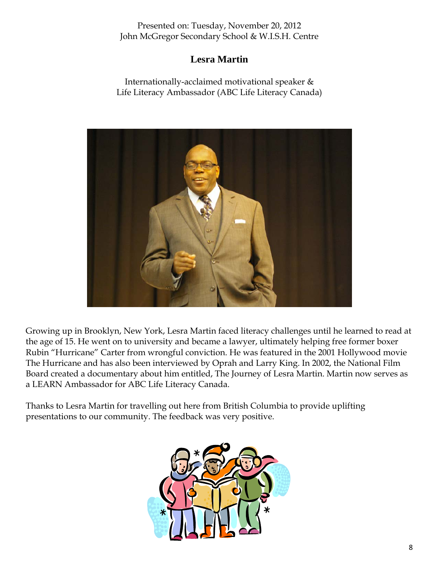Presented on: Tuesday, November 20, 2012 John McGregor Secondary School & W.I.S.H. Centre

# **Lesra Martin**

Internationally-acclaimed motivational speaker & Life Literacy Ambassador (ABC Life Literacy Canada)



Growing up in Brooklyn, New York, Lesra Martin faced literacy challenges until he learned to read at the age of 15. He went on to university and became a lawyer, ultimately helping free former boxer Rubin "Hurricane" Carter from wrongful conviction. He was featured in the 2001 Hollywood movie The Hurricane and has also been interviewed by Oprah and Larry King. In 2002, the National Film Board created a documentary about him entitled, The Journey of Lesra Martin. Martin now serves as a LEARN Ambassador for ABC Life Literacy Canada.

Thanks to Lesra Martin for travelling out here from British Columbia to provide uplifting presentations to our community. The feedback was very positive.

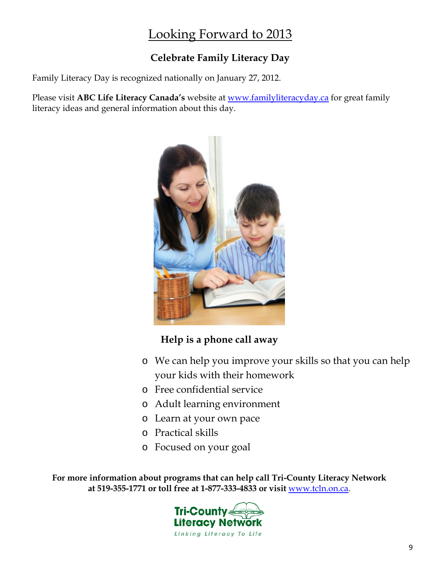# Looking Forward to 2013

# **Celebrate Family Literacy Day**

Family Literacy Day is recognized nationally on January 27, 2012.

Please visit **ABC Life Literacy Canada's** website at <u>www.familyliteracyday.ca</u> for great family<br>literacy ideas and general information about this day literacy ideas and general information about this day.



# **Help is a phone call away**

- o We can help you improve your skills so that you can help your kids with their homework
- o Free confidential service
- o Adult learning environment
- o Learn at your own pace
- o Practical skills
- o Focused on your goal

**For more information about programs that can help call Tri-County Literacy Network at 519-355-1771 or toll free at 1-877-333-4833 or visit** www.tcln.on.ca.

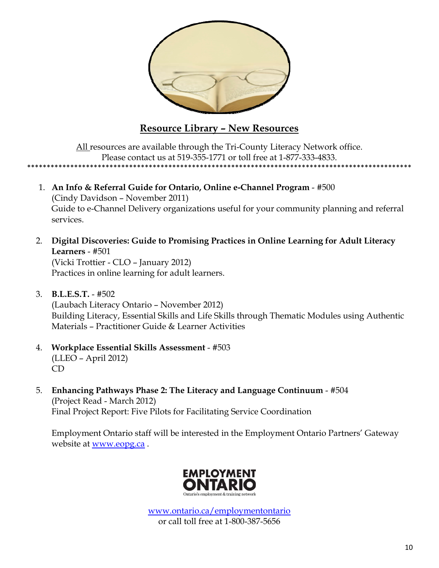

# **Resource Library – New Resources**

All resources are available through the Tri-County Literacy Network office. Please contact us at 519-355-1771 or toll free at 1-877-333-4833. \*\*\*\*\*\*\*\*\*\*\*\*\*\*\*\*\*\*\*\*\*\*\*\*\*\*\*\*\*\*\*\*\*\*\*\*\*\*\*\*\*\*\*\*\*\*\*\*\*\*\*\*\*\*\*\*\*\*\*\*\*\*\*\*\*\*\*\*\*\*\*\*\*\*\*\*\*\*\*\*\*\*\*\*\*\*\*\*\*\*\*\*\*\*\*\*\*\*

- 1. **An Info & Referral Guide for Ontario, Online e-Channel Program** #500 (Cindy Davidson – November 2011) Guide to e-Channel Delivery organizations useful for your community planning and referral services.
- 2. **Digital Discoveries: Guide to Promising Practices in Online Learning for Adult Literacy Learners** - #501

 (Vicki Trottier - CLO – January 2012) Practices in online learning for adult learners.

- 3. **B.L.E.S.T.** #502 (Laubach Literacy Ontario – November 2012) Building Literacy, Essential Skills and Life Skills through Thematic Modules using Authentic Materials – Practitioner Guide & Learner Activities
- 4. **Workplace Essential Skills Assessment** #503 (LLEO – April 2012) CD
- 5. **Enhancing Pathways Phase 2: The Literacy and Language Continuum** #504 (Project Read - March 2012) Final Project Report: Five Pilots for Facilitating Service Coordination

Employment Ontario staff will be interested in the Employment Ontario Partners' Gateway website at www.eopg.ca .



www.ontario.ca/employmentontario or call toll free at 1-800-387-5656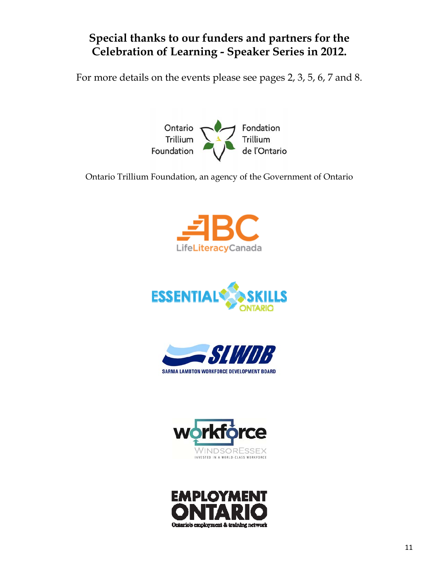# **Special thanks to our funders and partners for the Celebration of Learning - Speaker Series in 2012.**

For more details on the events please see pages 2, 3, 5, 6, 7 and 8.



Ontario Trillium Foundation, an agency of the Government of Ontario